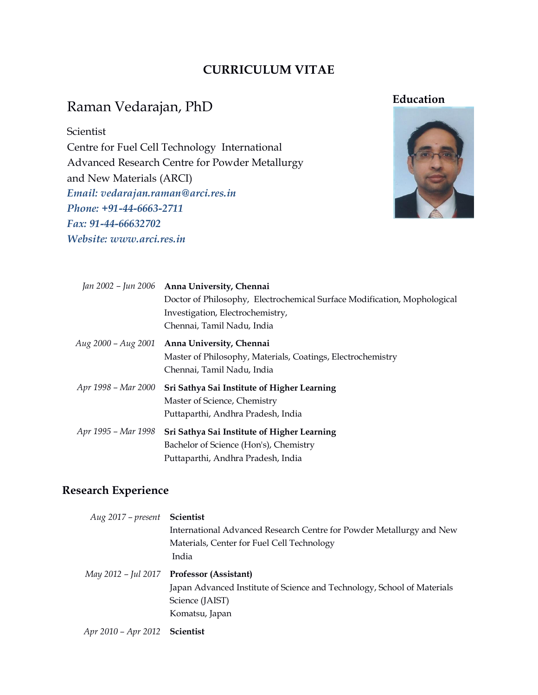# **CURRICULUM VITAE**

# Raman Vedarajan, PhD

#### Scientist

Centre for Fuel Cell Technology International Advanced Research Centre for Powder Metallurgy and New Materials (ARCI) *Email: vedarajan.raman@arci.res.in Phone: +91-44-6663-2711 Fax: 91-44-66632702 Website: www.arci.res.in*



|                     | Jan 2002 - Jun 2006 Anna University, Chennai                             |
|---------------------|--------------------------------------------------------------------------|
|                     | Doctor of Philosophy, Electrochemical Surface Modification, Mophological |
|                     | Investigation, Electrochemistry,                                         |
|                     | Chennai, Tamil Nadu, India                                               |
| Aug 2000 – Aug 2001 | Anna University, Chennai                                                 |
|                     | Master of Philosophy, Materials, Coatings, Electrochemistry              |
|                     | Chennai, Tamil Nadu, India                                               |
| Apr 1998 - Mar 2000 | Sri Sathya Sai Institute of Higher Learning                              |
|                     | Master of Science, Chemistry                                             |
|                     | Puttaparthi, Andhra Pradesh, India                                       |
| Apr 1995 - Mar 1998 | Sri Sathya Sai Institute of Higher Learning                              |
|                     | Bachelor of Science (Hon's), Chemistry                                   |
|                     | Puttaparthi, Andhra Pradesh, India                                       |
|                     |                                                                          |

## **Research Experience**

*Aug 2017 – present* **Scientist** International Advanced Research Centre for Powder Metallurgy and New Materials, Center for Fuel Cell Technology India *May 2012 – Jul 2017* **Professor (Assistant)** Japan Advanced Institute of Science and Technology, School of Materials Science (JAIST) Komatsu, Japan *Apr 2010 – Apr 2012* **Scientist**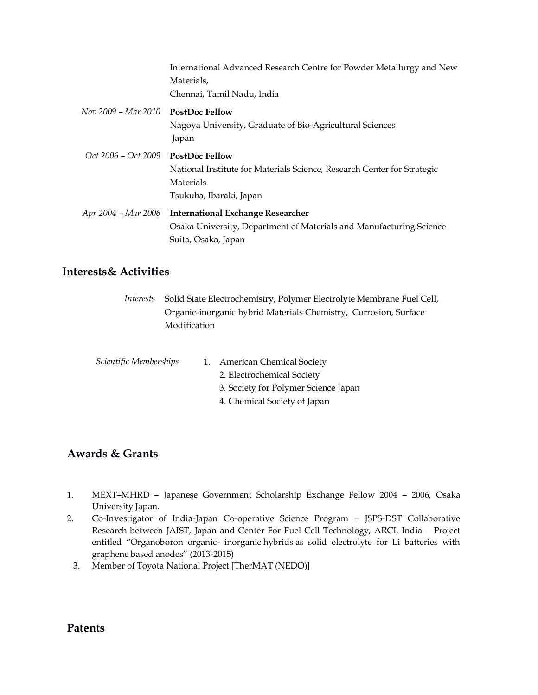|                                      | International Advanced Research Centre for Powder Metallurgy and New    |  |
|--------------------------------------|-------------------------------------------------------------------------|--|
|                                      | Materials,                                                              |  |
|                                      | Chennai, Tamil Nadu, India                                              |  |
| $Nov 2009 - Mar 2010$ PostDoc Fellow |                                                                         |  |
|                                      | Nagoya University, Graduate of Bio-Agricultural Sciences                |  |
|                                      | Japan                                                                   |  |
| Oct 2006 – Oct 2009                  | <b>PostDoc Fellow</b>                                                   |  |
|                                      | National Institute for Materials Science, Research Center for Strategic |  |
|                                      | Materials                                                               |  |
|                                      | Tsukuba, Ibaraki, Japan                                                 |  |
| Apr 2004 – Mar 2006                  | <b>International Exchange Researcher</b>                                |  |
|                                      | Osaka University, Department of Materials and Manufacturing Science     |  |
|                                      | Suita, Osaka, Japan                                                     |  |

#### **Interests& Activities**

*Interests* Solid State Electrochemistry, Polymer Electrolyte Membrane Fuel Cell, Organic-inorganic hybrid Materials Chemistry, Corrosion, Surface Modification

| Scientific Memberships | 1. | <b>American Chemical Society</b>     |
|------------------------|----|--------------------------------------|
|                        |    | 2. Electrochemical Society           |
|                        |    | 3. Society for Polymer Science Japan |
|                        |    | 4. Chemical Society of Japan         |
|                        |    |                                      |

### **Awards & Grants**

- 1. MEXT–MHRD Japanese Government Scholarship Exchange Fellow 2004 2006, Osaka University Japan.
- 2. Co-Investigator of India-Japan Co-operative Science Program JSPS-DST Collaborative Research between JAIST, Japan and Center For Fuel Cell Technology, ARCI, India – Project entitled "Organoboron organic- inorganic hybrids as solid electrolyte for Li batteries with graphene based anodes" (2013-2015)
	- 3. Member of Toyota National Project [TherMAT (NEDO)]

#### **Patents**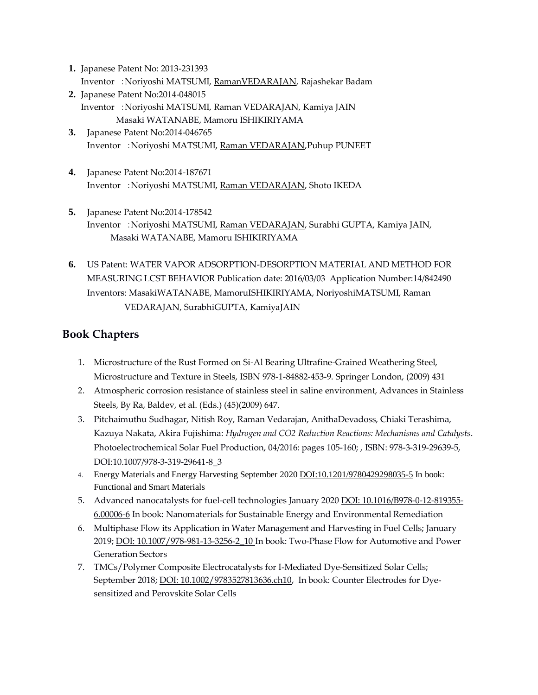- **1.** Japanese Patent No: 2013-231393 Inventor :Noriyoshi MATSUMI, RamanVEDARAJAN, Rajashekar Badam
- **2.** Japanese Patent No:2014-048015 Inventor :Noriyoshi MATSUMI, Raman VEDARAJAN, Kamiya JAIN Masaki WATANABE, Mamoru ISHIKIRIYAMA
- **3.** Japanese Patent No:2014-046765 Inventor :Noriyoshi MATSUMI, Raman VEDARAJAN,Puhup PUNEET
- **4.** Japanese Patent No:2014-187671 Inventor :Noriyoshi MATSUMI, Raman VEDARAJAN, Shoto IKEDA
- **5.** Japanese Patent No:2014-178542 Inventor :Noriyoshi MATSUMI, Raman VEDARAJAN, Surabhi GUPTA, Kamiya JAIN, Masaki WATANABE, Mamoru ISHIKIRIYAMA
- **6.** US Patent: WATER VAPOR ADSORPTION-DESORPTION MATERIAL AND METHOD FOR MEASURING LCST BEHAVIOR Publication date: 2016/03/03 Application Number:14/842490 Inventors: MasakiWATANABE, MamoruISHIKIRIYAMA, NoriyoshiMATSUMI, Raman VEDARAJAN, SurabhiGUPTA, KamiyaJAIN

## **Book Chapters**

- 1. Microstructure of the Rust Formed on Si-Al Bearing Ultrafine-Grained Weathering Steel, Microstructure and Texture in Steels, ISBN 978-1-84882-453-9. Springer London, (2009) 431
- 2. Atmospheric corrosion resistance of stainless steel in saline environment, Advances in Stainless Steels, By Ra, Baldev, et al. (Eds.) (45)(2009) 647.
- 3. Pitchaimuthu Sudhagar, Nitish Roy, Raman Vedarajan, AnithaDevadoss, Chiaki Terashima, Kazuya Nakata, Akira Fujishima: *Hydrogen and CO2 Reduction Reactions: Mechanisms and Catalysts*. Photoelectrochemical Solar Fuel Production, 04/2016: pages 105-160; , ISBN: 978-3-319-29639-5, DOI:10.1007/978-3-319-29641-8\_3
- 4. Energy Materials and Energy Harvesting September 2020 DOI:10.1201/9780429298035-5 In book: Functional and Smart Materials
- 5. Advanced nanocatalysts for fuel-cell technologies January 2020 DOI: 10.1016/B978-0-12-819355- 6.00006-6 In book: Nanomaterials for Sustainable Energy and Environmental Remediation
- 6. Multiphase Flow its Application in Water Management and Harvesting in Fuel Cells; January 2019; **DOI: 10.1007/978-981-13-3256-2\_10** In book: Two-Phase Flow for Automotive and Power Generation Sectors
- 7. TMCs/Polymer Composite Electrocatalysts for I-Mediated Dye-Sensitized Solar Cells; September 2018; DOI: 10.1002/9783527813636.ch10, In book: Counter Electrodes for Dyesensitized and Perovskite Solar Cells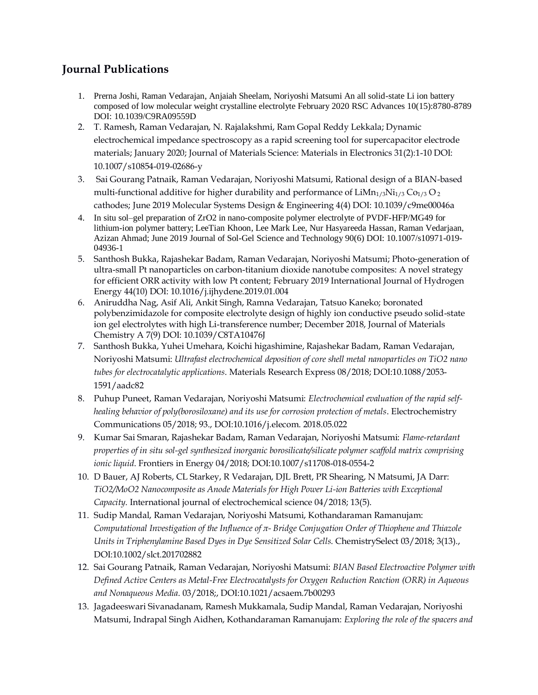## **Journal Publications**

- 1. Prerna Joshi, Raman Vedarajan, Anjaiah Sheelam, Noriyoshi Matsumi An all solid-state Li ion battery composed of low molecular weight crystalline electrolyte February 2020 RSC Advances 10(15):8780-8789 DOI: [10.1039/C9RA09559D](https://www.researchgate.net/deref/http%3A%2F%2Fdx.doi.org%2F10.1039%2FC9RA09559D?_sg%5B0%5D=uGTkYh89zqqalQLe-Dxu91Oww7ysqNUpbp07cCvLn7LF3mHF0kDWa289FF4n4aQKBvGrFf2nK3FNx3oQhB5josHS_Q.zu2KT3v1oIOM62c2tMk5SJEkR4kce0yJqp-glBr3tu9Z8EG3a8v7xaFtCrm_QmXkCwKJDRZXuMGOQK-C1G7vSw)
- 2. T. Ramesh, Raman Vedarajan, N. Rajalakshmi, Ram Gopal Reddy Lekkala; Dynamic electrochemical impedance spectroscopy as a rapid screening tool for supercapacitor electrode materials; January 2020; Journal of Materials Science: Materials in Electronics 31(2):1-10 DOI: 10.1007/s10854-019-02686-y
- 3. Sai Gourang Patnaik, Raman Vedarajan, Noriyoshi Matsumi, Rational design of a BIAN-based multi-functional additive for higher durability and performance of  $LiMn<sub>1/3</sub>Ni<sub>1/3</sub> Co<sub>1/3</sub> O<sub>2</sub>$ cathodes; June 2019 Molecular Systems Design & Engineering 4(4) DOI: 10.1039/c9me00046a
- 4. In situ sol–gel preparation of ZrO2 in nano-composite polymer electrolyte of PVDF-HFP/MG49 for lithium-ion polymer battery; LeeTian Khoon, Lee Mark Lee, Nur Hasyareeda Hassan, Raman Vedarjaan, Azizan Ahmad; June 2019 Journal of Sol-Gel Science and Technology 90(6) DOI: 10.1007/s10971-019- 04936-1
- 5. Santhosh Bukka, Rajashekar Badam, Raman Vedarajan, Noriyoshi Matsumi; Photo-generation of ultra-small Pt nanoparticles on carbon-titanium dioxide nanotube composites: A novel strategy for efficient ORR activity with low Pt content; February 2019 International Journal of Hydrogen Energy 44(10) DOI: 10.1016/j.ijhydene.2019.01.004
- 6. Aniruddha Nag, Asif Ali, Ankit Singh, Ramna Vedarajan, Tatsuo Kaneko; boronated polybenzimidazole for composite electrolyte design of highly ion conductive pseudo solid-state ion gel electrolytes with high Li-transference number; December 2018, Journal of Materials Chemistry A 7(9) DOI: 10.1039/C8TA10476J
- 7. Santhosh Bukka, Yuhei Umehara, Koichi higashimine, Rajashekar Badam, Raman Vedarajan, Noriyoshi Matsumi: *Ultrafast electrochemical deposition of core shell metal nanoparticles on TiO2 nano tubes for electrocatalytic applications*. Materials Research Express 08/2018; DOI:10.1088/2053- 1591/aadc82
- 8. Puhup Puneet, Raman Vedarajan, Noriyoshi Matsumi: *Electrochemical evaluation of the rapid selfhealing behavior of poly(borosiloxane) and its use for corrosion protection of metals*. Electrochemistry Communications 05/2018; 93., DOI:10.1016/j.elecom. 2018.05.022
- 9. Kumar Sai Smaran, Rajashekar Badam, Raman Vedarajan, Noriyoshi Matsumi: *Flame-retardant properties of in situ sol-gel synthesized inorganic borosilicate/silicate polymer scaffold matrix comprising ionic liquid*. Frontiers in Energy 04/2018; DOI:10.1007/s11708-018-0554-2
- 10. D Bauer, AJ Roberts, CL Starkey, R Vedarajan, DJL Brett, PR Shearing, N Matsumi, JA Darr: *TiO2/MoO2 Nanocomposite as Anode Materials for High Power Li-ion Batteries with Exceptional Capacity*. International journal of electrochemical science 04/2018; 13(5).
- 11. Sudip Mandal, Raman Vedarajan, Noriyoshi Matsumi, Kothandaraman Ramanujam: *Computational Investigation of the Influence of π- Bridge Conjugation Order of Thiophene and Thiazole Units in Triphenylamine Based Dyes in Dye Sensitized Solar Cells*. ChemistrySelect 03/2018; 3(13)., DOI:10.1002/slct.201702882
- 12. Sai Gourang Patnaik, Raman Vedarajan, Noriyoshi Matsumi: *BIAN Based Electroactive Polymer with Defined Active Centers as Metal-Free Electrocatalysts for Oxygen Reduction Reaction (ORR) in Aqueous and Nonaqueous Media*. 03/2018;, DOI:10.1021/acsaem.7b00293
- 13. Jagadeeswari Sivanadanam, Ramesh Mukkamala, Sudip Mandal, Raman Vedarajan, Noriyoshi Matsumi, Indrapal Singh Aidhen, Kothandaraman Ramanujam: *Exploring the role of the spacers and*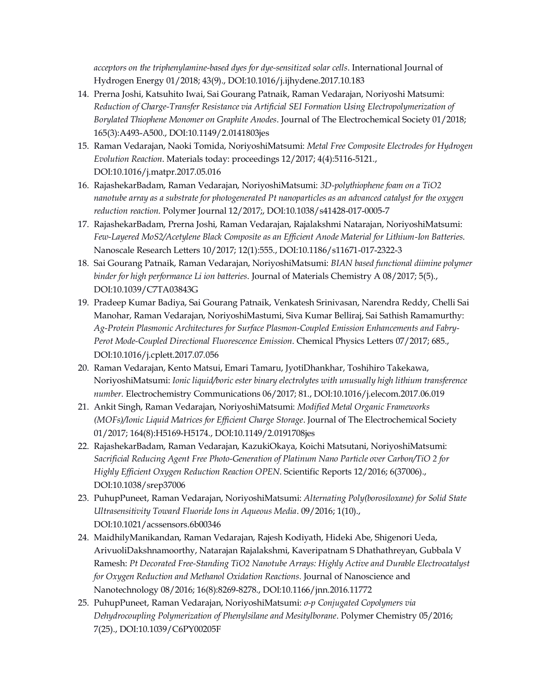*acceptors on the triphenylamine-based dyes for dye-sensitized solar cells*. International Journal of Hydrogen Energy 01/2018; 43(9)., DOI:10.1016/j.ijhydene.2017.10.183

- 14. Prerna Joshi, Katsuhito Iwai, Sai Gourang Patnaik, Raman Vedarajan, Noriyoshi Matsumi: *Reduction of Charge-Transfer Resistance via Artificial SEI Formation Using Electropolymerization of Borylated Thiophene Monomer on Graphite Anodes*. Journal of The Electrochemical Society 01/2018; 165(3):A493-A500., DOI:10.1149/2.0141803jes
- 15. Raman Vedarajan, Naoki Tomida, NoriyoshiMatsumi: *Metal Free Composite Electrodes for Hydrogen Evolution Reaction*. Materials today: proceedings 12/2017; 4(4):5116-5121., DOI:10.1016/j.matpr.2017.05.016
- 16. RajashekarBadam, Raman Vedarajan, NoriyoshiMatsumi: *3D-polythiophene foam on a TiO2 nanotube array as a substrate for photogenerated Pt nanoparticles as an advanced catalyst for the oxygen reduction reaction*. Polymer Journal 12/2017;, DOI:10.1038/s41428-017-0005-7
- 17. RajashekarBadam, Prerna Joshi, Raman Vedarajan, Rajalakshmi Natarajan, NoriyoshiMatsumi: *Few-Layered MoS2/Acetylene Black Composite as an Efficient Anode Material for Lithium-Ion Batteries*. Nanoscale Research Letters 10/2017; 12(1):555., DOI:10.1186/s11671-017-2322-3
- 18. Sai Gourang Patnaik, Raman Vedarajan, NoriyoshiMatsumi: *BIAN based functional diimine polymer binder for high performance Li ion batteries*. Journal of Materials Chemistry A 08/2017; 5(5)., DOI:10.1039/C7TA03843G
- 19. Pradeep Kumar Badiya, Sai Gourang Patnaik, Venkatesh Srinivasan, Narendra Reddy, Chelli Sai Manohar, Raman Vedarajan, NoriyoshiMastumi, Siva Kumar Belliraj, Sai Sathish Ramamurthy: *Ag-Protein Plasmonic Architectures for Surface Plasmon-Coupled Emission Enhancements and Fabry-Perot Mode-Coupled Directional Fluorescence Emission*. Chemical Physics Letters 07/2017; 685., DOI:10.1016/j.cplett.2017.07.056
- 20. Raman Vedarajan, Kento Matsui, Emari Tamaru, JyotiDhankhar, Toshihiro Takekawa, NoriyoshiMatsumi: *Ionic liquid/boric ester binary electrolytes with unusually high lithium transference number*. Electrochemistry Communications 06/2017; 81., DOI:10.1016/j.elecom.2017.06.019
- 21. Ankit Singh, Raman Vedarajan, NoriyoshiMatsumi: *Modified Metal Organic Frameworks (MOFs)/Ionic Liquid Matrices for Efficient Charge Storage*. Journal of The Electrochemical Society 01/2017; 164(8):H5169-H5174., DOI:10.1149/2.0191708jes
- 22. RajashekarBadam, Raman Vedarajan, KazukiOkaya, Koichi Matsutani, NoriyoshiMatsumi: *Sacrificial Reducing Agent Free Photo-Generation of Platinum Nano Particle over Carbon/TiO 2 for Highly Efficient Oxygen Reduction Reaction OPEN*. Scientific Reports 12/2016; 6(37006)., DOI:10.1038/srep37006
- 23. PuhupPuneet, Raman Vedarajan, NoriyoshiMatsumi: *Alternating Poly(borosiloxane) for Solid State Ultrasensitivity Toward Fluoride Ions in Aqueous Media*. 09/2016; 1(10)., DOI:10.1021/acssensors.6b00346
- 24. MaidhilyManikandan, Raman Vedarajan, Rajesh Kodiyath, Hideki Abe, Shigenori Ueda, ArivuoliDakshnamoorthy, Natarajan Rajalakshmi, Kaveripatnam S Dhathathreyan, Gubbala V Ramesh: *Pt Decorated Free-Standing TiO2 Nanotube Arrays: Highly Active and Durable Electrocatalyst for Oxygen Reduction and Methanol Oxidation Reactions*. Journal of Nanoscience and Nanotechnology 08/2016; 16(8):8269-8278., DOI:10.1166/jnn.2016.11772
- 25. PuhupPuneet, Raman Vedarajan, NoriyoshiMatsumi: *σ-p Conjugated Copolymers via Dehydrocoupling Polymerization of Phenylsilane and Mesitylborane*. Polymer Chemistry 05/2016; 7(25)., DOI:10.1039/C6PY00205F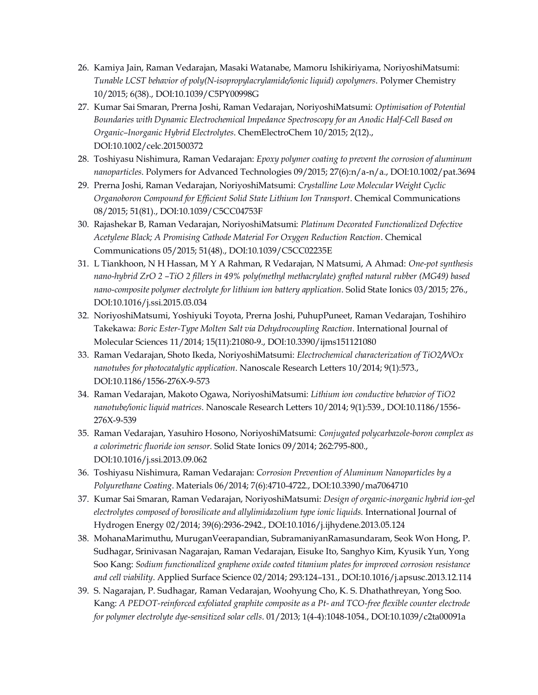- 26. Kamiya Jain, Raman Vedarajan, Masaki Watanabe, Mamoru Ishikiriyama, NoriyoshiMatsumi: *Tunable LCST behavior of poly(N-isopropylacrylamide/ionic liquid) copolymers*. Polymer Chemistry 10/2015; 6(38)., DOI:10.1039/C5PY00998G
- 27. Kumar Sai Smaran, Prerna Joshi, Raman Vedarajan, NoriyoshiMatsumi: *Optimisation of Potential Boundaries with Dynamic Electrochemical Impedance Spectroscopy for an Anodic Half-Cell Based on Organic–Inorganic Hybrid Electrolytes*. ChemElectroChem 10/2015; 2(12)., DOI:10.1002/celc.201500372
- 28. Toshiyasu Nishimura, Raman Vedarajan: *Epoxy polymer coating to prevent the corrosion of aluminum nanoparticles*. Polymers for Advanced Technologies 09/2015; 27(6):n/a-n/a., DOI:10.1002/pat.3694
- 29. Prerna Joshi, Raman Vedarajan, NoriyoshiMatsumi: *Crystalline Low Molecular Weight Cyclic Organoboron Compound for Efficient Solid State Lithium Ion Transport*. Chemical Communications 08/2015; 51(81)., DOI:10.1039/C5CC04753F
- 30. Rajashekar B, Raman Vedarajan, NoriyoshiMatsumi: *Platinum Decorated Functionalized Defective Acetylene Black; A Promising Cathode Material For Oxygen Reduction Reaction*. Chemical Communications 05/2015; 51(48)., DOI:10.1039/C5CC02235E
- 31. L Tiankhoon, N H Hassan, M Y A Rahman, R Vedarajan, N Matsumi, A Ahmad: *One-pot synthesis nano-hybrid ZrO 2 –TiO 2 fillers in 49% poly(methyl methacrylate) grafted natural rubber (MG49) based nano-composite polymer electrolyte for lithium ion battery application*. Solid State Ionics 03/2015; 276., DOI:10.1016/j.ssi.2015.03.034
- 32. NoriyoshiMatsumi, Yoshiyuki Toyota, Prerna Joshi, PuhupPuneet, Raman Vedarajan, Toshihiro Takekawa: *Boric Ester-Type Molten Salt via Dehydrocoupling Reaction*. International Journal of Molecular Sciences 11/2014; 15(11):21080-9., DOI:10.3390/ijms151121080
- 33. Raman Vedarajan, Shoto Ikeda, NoriyoshiMatsumi: *Electrochemical characterization of TiO2/WOx nanotubes for photocatalytic application*. Nanoscale Research Letters 10/2014; 9(1):573., DOI:10.1186/1556-276X-9-573
- 34. Raman Vedarajan, Makoto Ogawa, NoriyoshiMatsumi: *Lithium ion conductive behavior of TiO2 nanotube/ionic liquid matrices*. Nanoscale Research Letters 10/2014; 9(1):539., DOI:10.1186/1556- 276X-9-539
- 35. Raman Vedarajan, Yasuhiro Hosono, NoriyoshiMatsumi: *Conjugated polycarbazole-boron complex as a colorimetric fluoride ion sensor*. Solid State Ionics 09/2014; 262:795-800., DOI:10.1016/j.ssi.2013.09.062
- 36. Toshiyasu Nishimura, Raman Vedarajan: *Corrosion Prevention of Aluminum Nanoparticles by a Polyurethane Coating*. Materials 06/2014; 7(6):4710-4722., DOI:10.3390/ma7064710
- 37. Kumar Sai Smaran, Raman Vedarajan, NoriyoshiMatsumi: *Design of organic-inorganic hybrid ion-gel electrolytes composed of borosilicate and allylimidazolium type ionic liquids*. International Journal of Hydrogen Energy 02/2014; 39(6):2936-2942., DOI:10.1016/j.ijhydene.2013.05.124
- 38. MohanaMarimuthu, MuruganVeerapandian, SubramaniyanRamasundaram, Seok Won Hong, P. Sudhagar, Srinivasan Nagarajan, Raman Vedarajan, Eisuke Ito, Sanghyo Kim, Kyusik Yun, Yong Soo Kang: *Sodium functionalized graphene oxide coated titanium plates for improved corrosion resistance and cell viability*. Applied Surface Science 02/2014; 293:124–131., DOI:10.1016/j.apsusc.2013.12.114
- 39. S. Nagarajan, P. Sudhagar, Raman Vedarajan, Woohyung Cho, K. S. Dhathathreyan, Yong Soo. Kang: *A PEDOT-reinforced exfoliated graphite composite as a Pt- and TCO-free flexible counter electrode for polymer electrolyte dye-sensitized solar cells*. 01/2013; 1(4-4):1048-1054., DOI:10.1039/c2ta00091a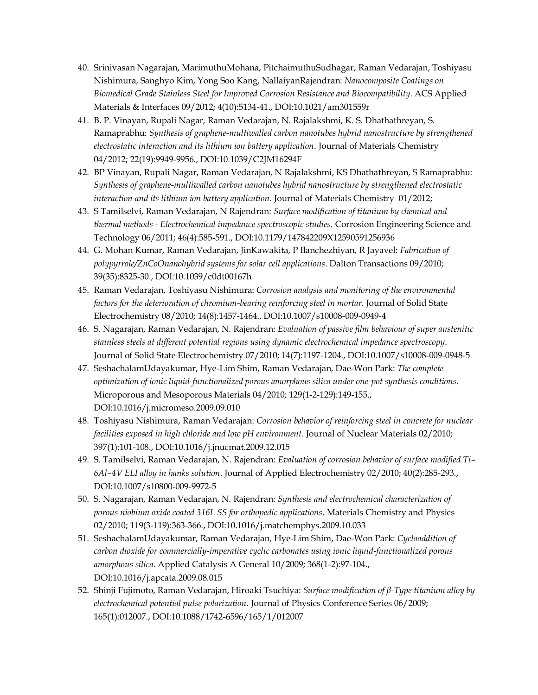- 40. Srinivasan Nagarajan, MarimuthuMohana, PitchaimuthuSudhagar, Raman Vedarajan, Toshiyasu Nishimura, Sanghyo Kim, Yong Soo Kang, NallaiyanRajendran: *Nanocomposite Coatings on Biomedical Grade Stainless Steel for Improved Corrosion Resistance and Biocompatibility*. ACS Applied Materials & Interfaces 09/2012; 4(10):5134-41., DOI:10.1021/am301559r
- 41. B. P. Vinayan, Rupali Nagar, Raman Vedarajan, N. Rajalakshmi, K. S. Dhathathreyan, S. Ramaprabhu: *Synthesis of graphene-multiwalled carbon nanotubes hybrid nanostructure by strengthened electrostatic interaction and its lithium ion battery application*. Journal of Materials Chemistry 04/2012; 22(19):9949-9956., DOI:10.1039/C2JM16294F
- 42. BP Vinayan, Rupali Nagar, Raman Vedarajan, N Rajalakshmi, KS Dhathathreyan, S Ramaprabhu: *Synthesis of graphene-multiwalled carbon nanotubes hybrid nanostructure by strengthened electrostatic interaction and its lithium ion battery application*. Journal of Materials Chemistry 01/2012;
- 43. S Tamilselvi, Raman Vedarajan, N Rajendran: *Surface modification of titanium by chemical and thermal methods - Electrochemical impedance spectroscopic studies*. Corrosion Engineering Science and Technology 06/2011; 46(4):585-591., DOI:10.1179/147842209X12590591256936
- 44. G. Mohan Kumar, Raman Vedarajan, JinKawakita, P Ilanchezhiyan, R Jayavel: *Fabrication of polypyrrole/ZnCoOnanohybrid systems for solar cell applications*. Dalton Transactions 09/2010; 39(35):8325-30., DOI:10.1039/c0dt00167h
- 45. Raman Vedarajan, Toshiyasu Nishimura: *Corrosion analysis and monitoring of the environmental factors for the deterioration of chromium-bearing reinforcing steel in mortar*. Journal of Solid State Electrochemistry 08/2010; 14(8):1457-1464., DOI:10.1007/s10008-009-0949-4
- 46. S. Nagarajan, Raman Vedarajan, N. Rajendran: *Evaluation of passive film behaviour of super austenitic stainless steels at different potential regions using dynamic electrochemical impedance spectroscopy*. Journal of Solid State Electrochemistry 07/2010; 14(7):1197-1204., DOI:10.1007/s10008-009-0948-5
- 47. SeshachalamUdayakumar, Hye-Lim Shim, Raman Vedarajan, Dae-Won Park: *The complete optimization of ionic liquid-functionalized porous amorphous silica under one-pot synthesis conditions*. Microporous and Mesoporous Materials 04/2010; 129(1-2-129):149-155., DOI:10.1016/j.micromeso.2009.09.010
- 48. Toshiyasu Nishimura, Raman Vedarajan: *Corrosion behavior of reinforcing steel in concrete for nuclear facilities exposed in high chloride and low pH environment*. Journal of Nuclear Materials 02/2010; 397(1):101-108., DOI:10.1016/j.jnucmat.2009.12.015
- 49. S. Tamilselvi, Raman Vedarajan, N. Rajendran: *Evaluation of corrosion behavior of surface modified Ti– 6Al–4V ELI alloy in hanks solution*. Journal of Applied Electrochemistry 02/2010; 40(2):285-293., DOI:10.1007/s10800-009-9972-5
- 50. S. Nagarajan, Raman Vedarajan, N. Rajendran: *Synthesis and electrochemical characterization of porous niobium oxide coated 316L SS for orthopedic applications*. Materials Chemistry and Physics 02/2010; 119(3-119):363-366., DOI:10.1016/j.matchemphys.2009.10.033
- 51. SeshachalamUdayakumar, Raman Vedarajan, Hye-Lim Shim, Dae-Won Park: *Cycloaddition of carbon dioxide for commercially-imperative cyclic carbonates using ionic liquid-functionalized porous amorphous silica*. Applied Catalysis A General 10/2009; 368(1-2):97-104., DOI:10.1016/j.apcata.2009.08.015
- 52. Shinji Fujimoto, Raman Vedarajan, Hiroaki Tsuchiya: *Surface modification of β-Type titanium alloy by electrochemical potential pulse polarization*. Journal of Physics Conference Series 06/2009; 165(1):012007., DOI:10.1088/1742-6596/165/1/012007